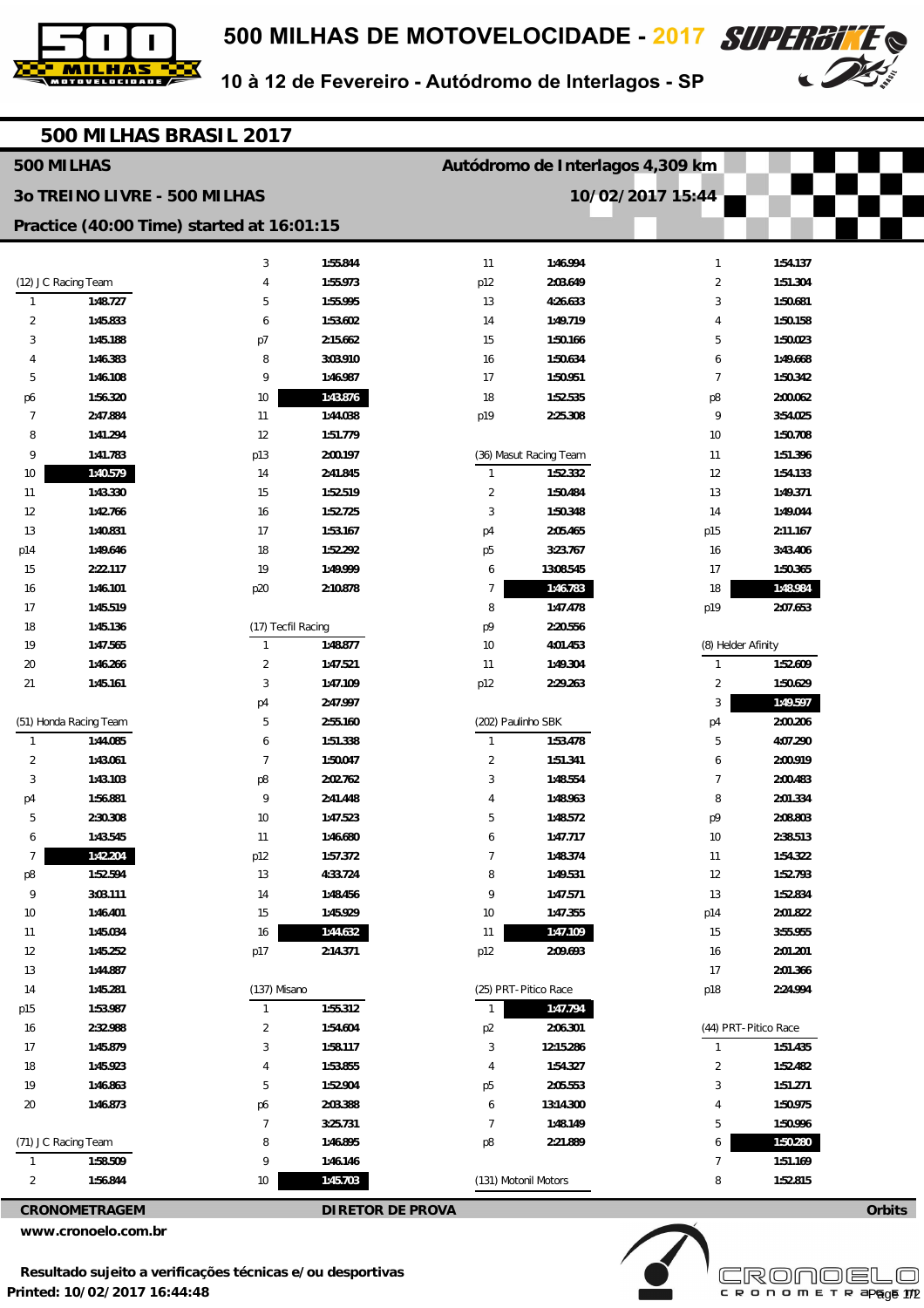



10 à 12 de Fevereiro - Autódromo de Interlagos - SP

|                                           |                              | 500 MILHAS BRASIL 2017 |                         |                         |                                  |                     |                      |        |  |
|-------------------------------------------|------------------------------|------------------------|-------------------------|-------------------------|----------------------------------|---------------------|----------------------|--------|--|
| 500 MILHAS                                |                              |                        |                         |                         | Autódromo de Interlagos 4,309 km |                     |                      |        |  |
|                                           | 30 TREINO LIVRE - 500 MILHAS |                        |                         |                         |                                  | 10/02/2017 15:44    |                      |        |  |
| Practice (40:00 Time) started at 16:01:15 |                              |                        |                         |                         |                                  |                     |                      |        |  |
|                                           |                              | 3                      | 1:55.844                | 11                      | 1:46.994                         | 1                   | 1:54.137             |        |  |
| (12) JC Racing Team                       |                              | 4                      | 1:55.973                | p12                     | 2:03.649                         | $\overline{2}$      | 1:51.304             |        |  |
| 1                                         | 1:48.727                     | 5                      | 1:55.995                | 13                      | 4:26.633                         | 3                   | 1:50.681             |        |  |
| 2                                         | 1:45.833                     | 6                      | 1:53.602                | 14                      | 1:49.719                         | 4                   | 1:50.158             |        |  |
| 3                                         | 1:45.188                     | p7                     | 2:15.662                | 15                      | 1:50.166                         | 5                   | 1:50.023             |        |  |
| 4                                         | 1:46.383                     | 8                      | 3:03.910                | 16                      | 1:50.634                         | 6                   | 1:49.668             |        |  |
| 5                                         | 1:46.108                     | 9                      | 1:46.987                | 17                      | 1:50.951                         | $\overline{7}$      | 1:50.342             |        |  |
| p6                                        | 1:56.320                     | 10                     | 1:43.876                | 18                      | 1:52.535                         | p8                  | 2:00.062             |        |  |
| 7                                         | 2:47.884                     | 11                     | 1:44.038                | p19                     | 2:25.308                         | 9                   | 3:54.025             |        |  |
| 8                                         | 1:41.294                     | 12                     | 1:51.779                |                         |                                  | 10                  | 1:50.708             |        |  |
| 9                                         | 1:41.783                     | p13                    | 2:00.197                |                         | (36) Masut Racing Team           | 11                  | 1:51.396             |        |  |
| 10                                        | 1:40.579                     | 14                     | 2:41.845                | 1                       | 1:52.332                         | 12                  | 1:54.133             |        |  |
| 11                                        | 1:43.330                     | 15                     | 1:52.519                | $\overline{\mathbf{c}}$ | 1:50.484                         | 13                  | 1:49.371             |        |  |
| 12                                        | 1:42.766                     | 16                     | 1:52.725                | 3                       | 1:50.348                         | 14                  | 1:49.044             |        |  |
| 13                                        | 1:40.831                     | 17                     | 1:53.167                | p4                      | 2:05.465                         | p15                 | 2:11.167             |        |  |
| p14                                       | 1:49.646                     | 18                     | 1:52.292                | p <sub>5</sub>          | 3:23.767                         | 16                  | 3:43.406             |        |  |
| 15                                        | 2:22.117                     | 19                     | 1:49.999                | 6                       | 13:08.545                        | 17                  | 1:50.365             |        |  |
| 16                                        | 1:46.101                     | p20                    | 2:10.878                | 7                       | 1:46.783                         | 18                  | 1:48.984             |        |  |
| 17                                        | 1:45.519                     |                        |                         | 8                       | 1:47.478                         | p19                 | 2:07.653             |        |  |
| 18                                        | 1:45.136                     | (17) Tecfil Racing     |                         | p9                      | 2:20.556                         |                     |                      |        |  |
| 19                                        | 1:47.565                     | $\mathbf{1}$           | 1:48.877                | 10                      | 4:01.453                         | (8) Helder Afinity  |                      |        |  |
| 20                                        | 1:46.266                     | $\overline{2}$         | 1:47.521                | 11                      | 1:49.304                         | 1                   | 1:52.609             |        |  |
| 21                                        | 1:45.161                     | 3                      | 1:47.109                | p12                     | 2:29.263                         | $\overline{2}$      | 1:50.629             |        |  |
|                                           |                              | p4                     | 2:47.997                |                         |                                  | 3                   | 1:49.597             |        |  |
|                                           | (51) Honda Racing Team       | 5                      | 2:55.160                | (202) Paulinho SBK      |                                  | p4                  | 2:00.206             |        |  |
| $\mathbf{1}$                              | 1:44.085                     | 6                      | 1:51.338                | 1                       | 1:53.478                         | 5                   | 4:07.290             |        |  |
| 2                                         | 1:43.061                     | 7                      | 1:50.047                | $\overline{2}$          | 1:51.341                         | 6                   | 2:00.919             |        |  |
| 3                                         | 1:43.103                     | p8                     | 2:02.762                | 3                       | 1:48.554                         | 7                   | 2:00.483             |        |  |
| p4                                        | 1:56.881                     | 9                      | 2:41.448                | 4                       | 1:48.963                         | 8                   | 2:01.334             |        |  |
| b                                         | 2:30.308                     | 10                     | 1:47.523                | b                       | 1:48.572                         | p9                  | 2:08.803             |        |  |
| 6                                         | 1:43.545                     | 11                     | 1:46.680                | 6                       | 1:47.717                         | $10$                | 2:38.513             |        |  |
| $\overline{7}$                            | 1:42.204                     | p12                    | 1:57.372                | $\overline{7}$          | 1:48.374                         | 11                  | 1:54.322             |        |  |
| p8                                        | 1:52.594                     | 13                     | 4:33.724                | 8                       | 1:49.531                         | 12                  | 1:52.793             |        |  |
| 9                                         | 3:03.111                     | 14                     | 1:48.456                | 9                       | 1:47.571                         | 13                  | 1:52.834             |        |  |
| 10                                        | 1:46.401                     | 15                     | 1:45.929                | 10                      | 1:47.355                         | p14                 | 2:01.822             |        |  |
| 11                                        | 1:45.034                     | 16                     | 1:44.632                | 11                      | 1:47.109                         | 15                  | 3:55.955             |        |  |
| 12                                        | 1:45.252                     | p17                    | 2:14.371                | p12                     | 2:09.693                         | 16                  | 2:01.201             |        |  |
| 13                                        | 1:44.887                     |                        |                         |                         |                                  | 17                  | 2:01.366             |        |  |
| 14                                        | 1:45.281                     | (137) Misano           |                         | (25) PRT-Pitico Race    |                                  | p18                 | 2:24.994             |        |  |
| p15                                       | 1:53.987                     | $\mathbf{1}$           | 1:55.312                | 1                       | 1:47.794                         |                     |                      |        |  |
| 16                                        | 2:32.988                     | $\overline{2}$         | 1:54.604                | p <sub>2</sub>          | 2:06.301                         |                     | (44) PRT-Pitico Race |        |  |
| 17                                        | 1:45.879                     | 3                      | 1:58.117                | 3                       | 12:15.286                        | $\mathbf{1}$        | 1:51.435             |        |  |
| 18                                        | 1:45.923                     | 4                      | 1:53.855                | 4                       | 1:54.327                         | $\overline{2}$      | 1:52.482             |        |  |
| 19                                        | 1:46.863                     | 5                      | 1:52.904                | p <sub>5</sub>          | 2:05.553                         | 3                   | 1:51.271             |        |  |
| 20                                        | 1:46.873                     | p6                     | 2:03.388                | 6                       | 13:14.300                        | 4                   | 1:50.975             |        |  |
|                                           |                              | $\overline{7}$         | 3:25.731                | $\overline{7}$          | 1:48.149                         | 5                   | 1:50.996             |        |  |
| (71) JC Racing Team                       | 1:58.509                     | 8<br>9                 | 1:46.895                | p8                      | 2:21.889                         | 6<br>$\overline{7}$ | 1:50.280<br>1:51.169 |        |  |
| $\mathbf{1}$<br>2                         | 1:56.844                     | 10                     | 1:46.146<br>1:45.703    | (131) Motonil Motors    |                                  | 8                   | 1:52.815             |        |  |
|                                           |                              |                        |                         |                         |                                  |                     |                      |        |  |
|                                           | <b>CRONOMETRAGEM</b>         |                        | <b>DIRETOR DE PROVA</b> |                         |                                  |                     |                      | Orbits |  |

**www.cronoelo.com.br**